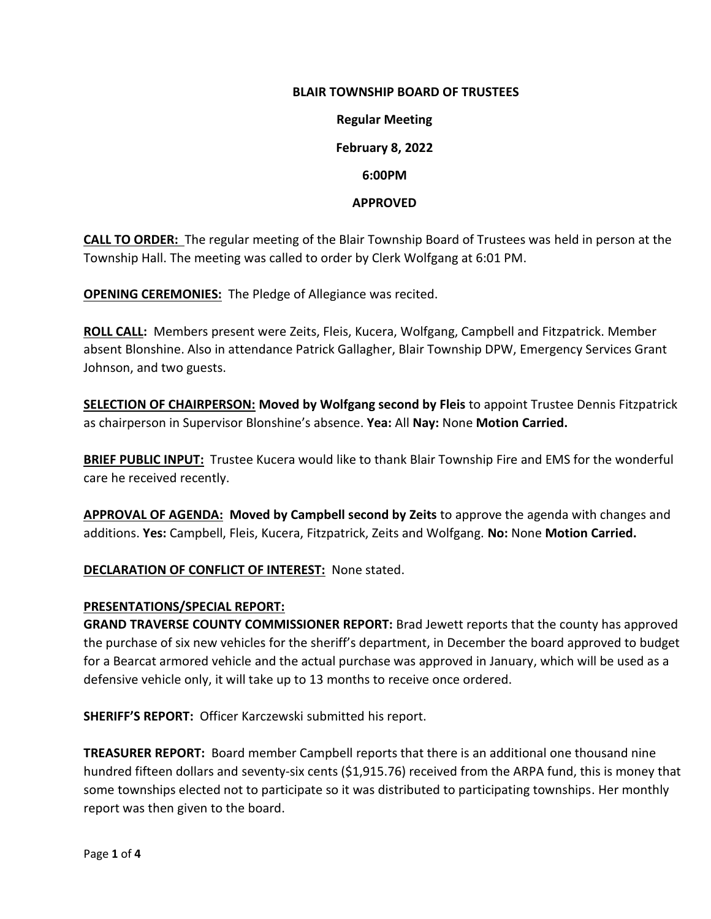# **BLAIR TOWNSHIP BOARD OF TRUSTEES**

**Regular Meeting February 8, 2022 6:00PM**

#### **APPROVED**

**CALL TO ORDER:** The regular meeting of the Blair Township Board of Trustees was held in person at the Township Hall. The meeting was called to order by Clerk Wolfgang at 6:01 PM.

**OPENING CEREMONIES:** The Pledge of Allegiance was recited.

**ROLL CALL:** Members present were Zeits, Fleis, Kucera, Wolfgang, Campbell and Fitzpatrick. Member absent Blonshine. Also in attendance Patrick Gallagher, Blair Township DPW, Emergency Services Grant Johnson, and two guests.

**SELECTION OF CHAIRPERSON: Moved by Wolfgang second by Fleis** to appoint Trustee Dennis Fitzpatrick as chairperson in Supervisor Blonshine's absence. **Yea:** All **Nay:** None **Motion Carried.**

**BRIEF PUBLIC INPUT:** Trustee Kucera would like to thank Blair Township Fire and EMS for the wonderful care he received recently.

**APPROVAL OF AGENDA: Moved by Campbell second by Zeits** to approve the agenda with changes and additions. **Yes:** Campbell, Fleis, Kucera, Fitzpatrick, Zeits and Wolfgang. **No:** None **Motion Carried.**

### **DECLARATION OF CONFLICT OF INTEREST:** None stated.

#### **PRESENTATIONS/SPECIAL REPORT:**

**GRAND TRAVERSE COUNTY COMMISSIONER REPORT:** Brad Jewett reports that the county has approved the purchase of six new vehicles for the sheriff's department, in December the board approved to budget for a Bearcat armored vehicle and the actual purchase was approved in January, which will be used as a defensive vehicle only, it will take up to 13 months to receive once ordered.

**SHERIFF'S REPORT:** Officer Karczewski submitted his report.

**TREASURER REPORT:** Board member Campbell reports that there is an additional one thousand nine hundred fifteen dollars and seventy-six cents (\$1,915.76) received from the ARPA fund, this is money that some townships elected not to participate so it was distributed to participating townships. Her monthly report was then given to the board.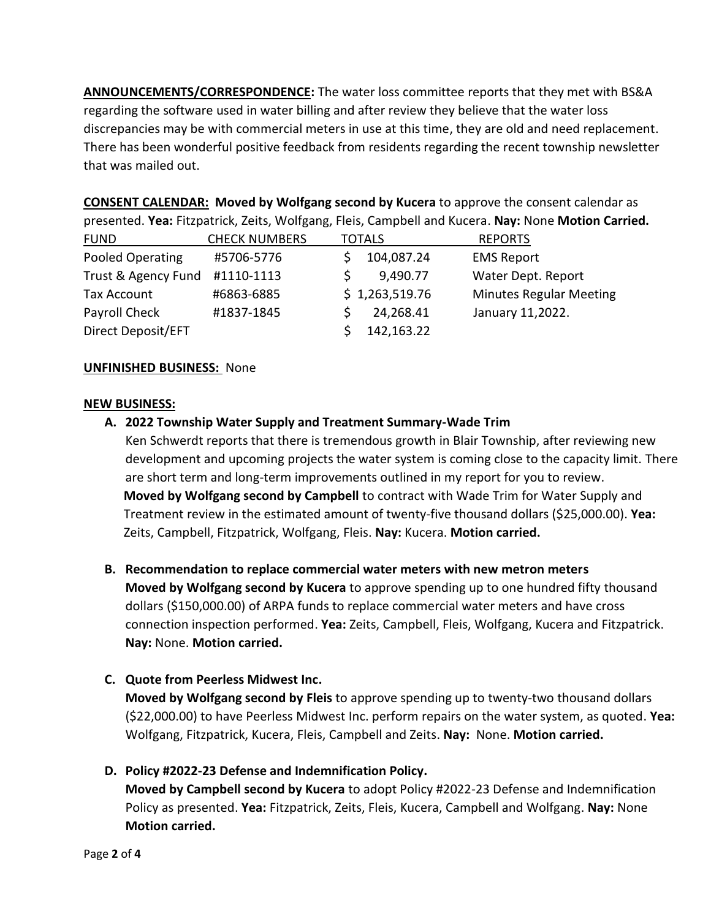**ANNOUNCEMENTS/CORRESPONDENCE:** The water loss committee reports that they met with BS&A regarding the software used in water billing and after review they believe that the water loss discrepancies may be with commercial meters in use at this time, they are old and need replacement. There has been wonderful positive feedback from residents regarding the recent township newsletter that was mailed out.

**CONSENT CALENDAR: Moved by Wolfgang second by Kucera** to approve the consent calendar as presented. **Yea:** Fitzpatrick, Zeits, Wolfgang, Fleis, Campbell and Kucera. **Nay:** None **Motion Carried.**

| <b>FUND</b>         | <b>CHECK NUMBERS</b> | <b>TOTALS</b>  | <b>REPORTS</b>                 |
|---------------------|----------------------|----------------|--------------------------------|
| Pooled Operating    | #5706-5776           | 104,087.24     | <b>EMS Report</b>              |
| Trust & Agency Fund | #1110-1113           | 9,490.77       | Water Dept. Report             |
| Tax Account         | #6863-6885           | \$1,263,519.76 | <b>Minutes Regular Meeting</b> |
| Payroll Check       | #1837-1845           | 24,268.41      | January 11,2022.               |
| Direct Deposit/EFT  |                      | 142,163.22     |                                |

### **UNFINISHED BUSINESS:** None

### **NEW BUSINESS:**

- **A. 2022 Township Water Supply and Treatment Summary-Wade Trim**
	- Ken Schwerdt reports that there is tremendous growth in Blair Township, after reviewing new development and upcoming projects the water system is coming close to the capacity limit. There are short term and long-term improvements outlined in my report for you to review. **Moved by Wolfgang second by Campbell** to contract with Wade Trim for Water Supply and Treatment review in the estimated amount of twenty-five thousand dollars (\$25,000.00). **Yea:**  Zeits, Campbell, Fitzpatrick, Wolfgang, Fleis. **Nay:** Kucera. **Motion carried.**
- **B. Recommendation to replace commercial water meters with new metron meters Moved by Wolfgang second by Kucera** to approve spending up to one hundred fifty thousand dollars (\$150,000.00) of ARPA funds to replace commercial water meters and have cross connection inspection performed. **Yea:** Zeits, Campbell, Fleis, Wolfgang, Kucera and Fitzpatrick. **Nay:** None. **Motion carried.**
- **C. Quote from Peerless Midwest Inc.**

**Moved by Wolfgang second by Fleis** to approve spending up to twenty-two thousand dollars (\$22,000.00) to have Peerless Midwest Inc. perform repairs on the water system, as quoted. **Yea:** Wolfgang, Fitzpatrick, Kucera, Fleis, Campbell and Zeits. **Nay:** None. **Motion carried.**

**D. Policy #2022-23 Defense and Indemnification Policy.**

**Moved by Campbell second by Kucera** to adopt Policy #2022-23 Defense and Indemnification Policy as presented. **Yea:** Fitzpatrick, Zeits, Fleis, Kucera, Campbell and Wolfgang. **Nay:** None **Motion carried.**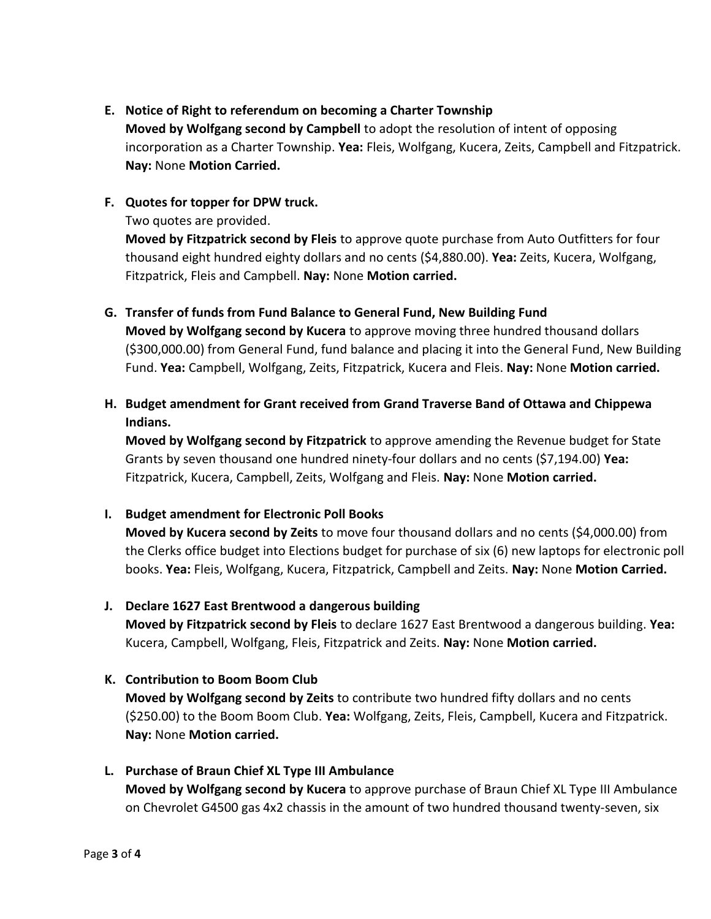## **E. Notice of Right to referendum on becoming a Charter Township**

**Moved by Wolfgang second by Campbell** to adopt the resolution of intent of opposing incorporation as a Charter Township. **Yea:** Fleis, Wolfgang, Kucera, Zeits, Campbell and Fitzpatrick. **Nay:** None **Motion Carried.** 

### **F. Quotes for topper for DPW truck.**

Two quotes are provided.

**Moved by Fitzpatrick second by Fleis** to approve quote purchase from Auto Outfitters for four thousand eight hundred eighty dollars and no cents (\$4,880.00). **Yea:** Zeits, Kucera, Wolfgang, Fitzpatrick, Fleis and Campbell. **Nay:** None **Motion carried.**

### **G. Transfer of funds from Fund Balance to General Fund, New Building Fund**

**Moved by Wolfgang second by Kucera** to approve moving three hundred thousand dollars (\$300,000.00) from General Fund, fund balance and placing it into the General Fund, New Building Fund. **Yea:** Campbell, Wolfgang, Zeits, Fitzpatrick, Kucera and Fleis. **Nay:** None **Motion carried.**

# **H. Budget amendment for Grant received from Grand Traverse Band of Ottawa and Chippewa Indians.**

**Moved by Wolfgang second by Fitzpatrick** to approve amending the Revenue budget for State Grants by seven thousand one hundred ninety-four dollars and no cents (\$7,194.00) **Yea:**  Fitzpatrick, Kucera, Campbell, Zeits, Wolfgang and Fleis. **Nay:** None **Motion carried.**

### **I. Budget amendment for Electronic Poll Books**

**Moved by Kucera second by Zeits** to move four thousand dollars and no cents (\$4,000.00) from the Clerks office budget into Elections budget for purchase of six (6) new laptops for electronic poll books. **Yea:** Fleis, Wolfgang, Kucera, Fitzpatrick, Campbell and Zeits. **Nay:** None **Motion Carried.** 

### **J. Declare 1627 East Brentwood a dangerous building**

**Moved by Fitzpatrick second by Fleis** to declare 1627 East Brentwood a dangerous building. **Yea:**  Kucera, Campbell, Wolfgang, Fleis, Fitzpatrick and Zeits. **Nay:** None **Motion carried.** 

### **K. Contribution to Boom Boom Club**

**Moved by Wolfgang second by Zeits** to contribute two hundred fifty dollars and no cents (\$250.00) to the Boom Boom Club. **Yea:** Wolfgang, Zeits, Fleis, Campbell, Kucera and Fitzpatrick. **Nay:** None **Motion carried.**

## **L. Purchase of Braun Chief XL Type III Ambulance Moved by Wolfgang second by Kucera** to approve purchase of Braun Chief XL Type III Ambulance on Chevrolet G4500 gas 4x2 chassis in the amount of two hundred thousand twenty-seven, six